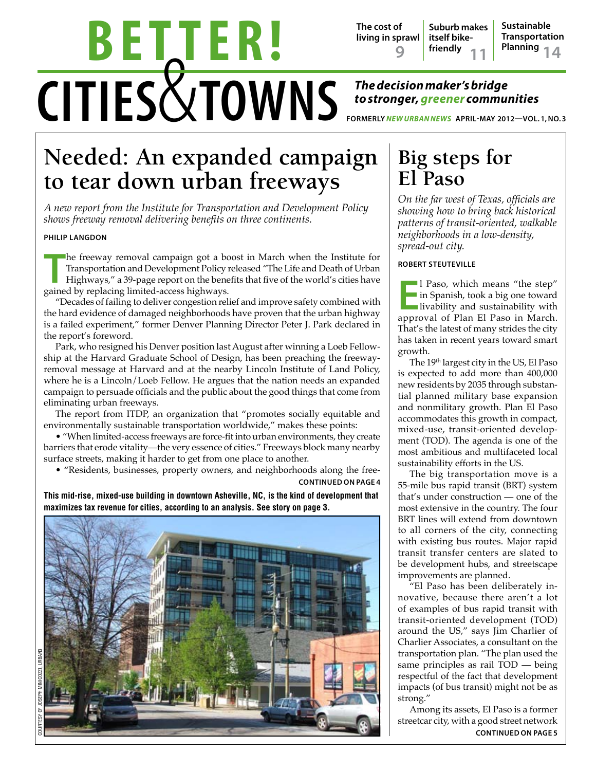# CITIES& TOWNS **The decision maker's bridge b e t t e r !**

**Suburb makes itself bikefriendly The cost of living in sprawl Sustainable Transportation 9**  $\begin{bmatrix} 1 & 1 & 1 \\ 1 & 1 & 1 \end{bmatrix}$  Planning 14

# *to stronger, greener communities*

**formerly** *New urbannews* **April-May 2012—Vol. 1, No. 3**

# **Needed: An expanded campaign to tear down urban freeways**

*A new report from the Institute for Transportation and Development Policy shows freeway removal delivering benefits on three continents.*

#### **Philip langdon**

**The freeway removal campaign got a bo**<br> **Transportation and Development Policy r**<br>
Highways," a 39-page report on the bene<br>
gained by replacing limited-access highways. he freeway removal campaign got a boost in March when the Institute for Transportation and Development Policy released "The Life and Death of Urban Highways," a 39-page report on the benefits that five of the world's cities have

"Decades of failing to deliver congestion relief and improve safety combined with the hard evidence of damaged neighborhoods have proven that the urban highway is a failed experiment," former Denver Planning Director Peter J. Park declared in the report's foreword.

Park, who resigned his Denver position last August after winning a Loeb Fellowship at the Harvard Graduate School of Design, has been preaching the freewayremoval message at Harvard and at the nearby Lincoln Institute of Land Policy, where he is a Lincoln/Loeb Fellow. He argues that the nation needs an expanded campaign to persuade officials and the public about the good things that come from eliminating urban freeways.

The report from ITDP, an organization that "promotes socially equitable and environmentally sustainable transportation worldwide," makes these points:

• "When limited-access freeways are force-fit into urban environments, they create barriers that erode vitality—the very essence of cities." Freeways block many nearby surface streets, making it harder to get from one place to another.

• "Residents, businesses, property owners, and neighborhoods along the free**continued on page 4**

**This mid-rise, mixed-use building in downtown Asheville, NC, is the kind of development that maximizes tax revenue for cities, according to an analysis. See story on page 3.**



## **Big steps for El Paso**

*On the far west of Texas, officials are showing how to bring back historical patterns of transit-oriented, walkable neighborhoods in a low-density, spread-out city.*

#### **Robert Steuteville**

**EP** I Paso, which means "the step" in Spanish, took a big one toward livability and sustainability with approval of Plan El Paso in March. l Paso, which means "the step" In Spanish, took a big one toward livability and sustainability with That's the latest of many strides the city has taken in recent years toward smart growth.

The 19th largest city in the US, El Paso is expected to add more than 400,000 new residents by 2035 through substantial planned military base expansion and nonmilitary growth. Plan El Paso accommodates this growth in compact, mixed-use, transit-oriented development (TOD). The agenda is one of the most ambitious and multifaceted local sustainability efforts in the US.

The big transportation move is a 55-mile bus rapid transit (BRT) system that's under construction — one of the most extensive in the country. The four BRT lines will extend from downtown to all corners of the city, connecting with existing bus routes. Major rapid transit transfer centers are slated to be development hubs, and streetscape improvements are planned.

"El Paso has been deliberately innovative, because there aren't a lot of examples of bus rapid transit with transit-oriented development (TOD) around the US," says Jim Charlier of Charlier Associates, a consultant on the transportation plan. "The plan used the same principles as rail TOD — being respectful of the fact that development impacts (of bus transit) might not be as strong."

Among its assets, El Paso is a former streetcar city, with a good street network **continued on page 5**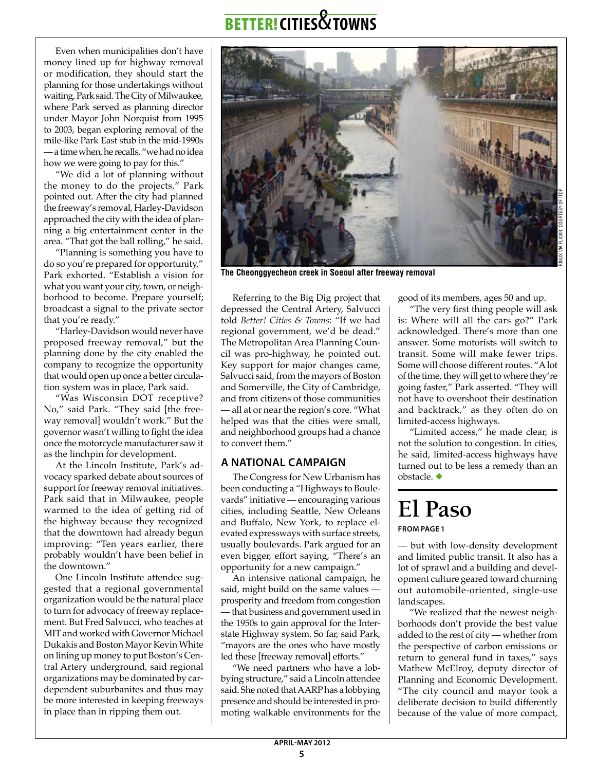Even when municipalities don't have money lined up for highway removal or modification, they should start the planning for those undertakings without waiting, Park said. The City of Milwaukee, where Park served as planning director under Mayor John Norquist from 1995 to 2003, began exploring removal of the mile-like Park East stub in the mid-1990s — a time when, he recalls, "we had no idea how we were going to pay for this."

"We did a lot of planning without the money to do the projects," Park pointed out. After the city had planned the freeway's removal, Harley-Davidson approached the city with the idea of planning a big entertainment center in the area. "That got the ball rolling," he said.

"Planning is something you have to do so you're prepared for opportunity," Park exhorted. "Establish a vision for what you want your city, town, or neighborhood to become. Prepare yourself; broadcast a signal to the private sector that you're ready."

"Harley-Davidson would never have proposed freeway removal," but the planning done by the city enabled the company to recognize the opportunity that would open up once a better circulation system was in place, Park said.

"Was Wisconsin DOT receptive? No," said Park. "They said [the freeway removal] wouldn't work." But the governor wasn't willing to fight the idea once the motorcycle manufacturer saw it as the linchpin for development.

At the Lincoln Institute, Park's advocacy sparked debate about sources of support for freeway removal initiatives. Park said that in Milwaukee, people warmed to the idea of getting rid of the highway because they recognized that the downtown had already begun improving: "Ten years earlier, there probably wouldn't have been belief in the downtown."

One Lincoln Institute attendee suggested that a regional governmental organization would be the natural place to turn for advocacy of freeway replacement. But Fred Salvucci, who teaches at MIT and worked with Governor Michael Dukakis and Boston Mayor Kevin White on lining up money to put Boston's Central Artery underground, said regional organizations may be dominated by cardependent suburbanites and thus may be more interested in keeping freeways in place than in ripping them out.

Referring to the Big Dig project that depressed the Central Artery, Salvucci told *Better! Cities & Towns*: "If we had regional government, we'd be dead." The Metropolitan Area Planning Council was pro-highway, he pointed out. Key support for major changes came, Salvucci said, from the mayors of Boston and Somerville, the City of Cambridge, and from citizens of those communities — all at or near the region's core. "What helped was that the cities were small, and neighborhood groups had a chance to convert them."

**The Cheonggyecheon creek in Soeoul after freeway removal**

### **A national campaign**

The Congress for New Urbanism has been conducting a "Highways to Boulevards" initiative — encouraging various cities, including Seattle, New Orleans and Buffalo, New York, to replace elevated expressways with surface streets, usually boulevards. Park argued for an even bigger, effort saying, "There's an opportunity for a new campaign."

An intensive national campaign, he said, might build on the same values prosperity and freedom from congestion — that business and government used in the 1950s to gain approval for the Interstate Highway system. So far, said Park, "mayors are the ones who have mostly led these [freeway removal] efforts."

"We need partners who have a lobbying structure," said a Lincoln attendee said. She noted that AARP has a lobbying presence and should be interested in promoting walkable environments for the

good of its members, ages 50 and up.

"The very first thing people will ask is: Where will all the cars go?" Park acknowledged. There's more than one answer. Some motorists will switch to transit. Some will make fewer trips. Some will choose different routes. "A lot of the time, they will get to where they're going faster," Park asserted. "They will not have to overshoot their destination and backtrack," as they often do on limited-access highways.

"Limited access," he made clear, is not the solution to congestion. In cities, he said, limited-access highways have turned out to be less a remedy than an obstacle. ◆

## **El Paso from page 1**

— but with low-density development and limited public transit. It also has a lot of sprawl and a building and development culture geared toward churning out automobile-oriented, single-use landscapes.

"We realized that the newest neighborhoods don't provide the best value added to the rest of city — whether from the perspective of carbon emissions or return to general fund in taxes," says Mathew McElroy, deputy director of Planning and Economic Development. "The city council and mayor took a deliberate decision to build differently because of the value of more compact,

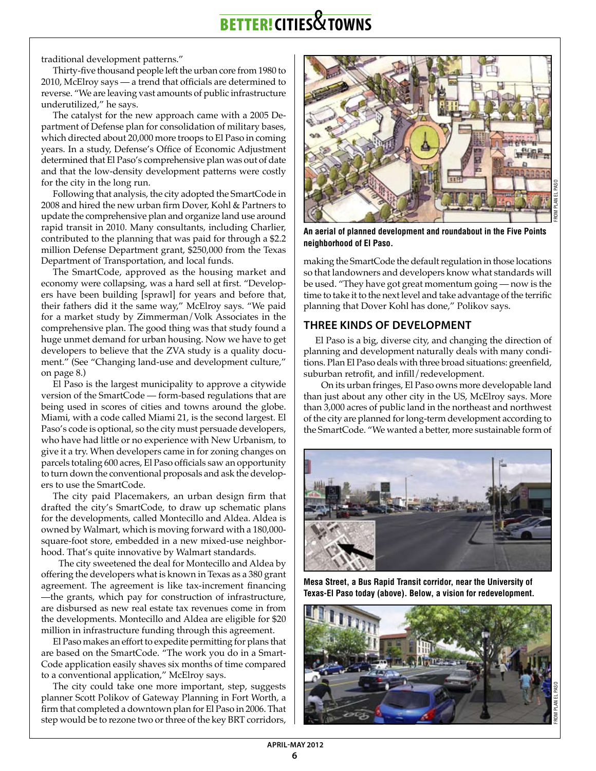traditional development patterns."

Thirty-five thousand people left the urban core from 1980 to 2010, McElroy says — a trend that officials are determined to reverse. "We are leaving vast amounts of public infrastructure underutilized," he says.

The catalyst for the new approach came with a 2005 Department of Defense plan for consolidation of military bases, which directed about 20,000 more troops to El Paso in coming years. In a study, Defense's Office of Economic Adjustment determined that El Paso's comprehensive plan was out of date and that the low-density development patterns were costly for the city in the long run.

Following that analysis, the city adopted the SmartCode in 2008 and hired the new urban firm Dover, Kohl & Partners to update the comprehensive plan and organize land use around rapid transit in 2010. Many consultants, including Charlier, contributed to the planning that was paid for through a \$2.2 million Defense Department grant, \$250,000 from the Texas Department of Transportation, and local funds.

The SmartCode, approved as the housing market and economy were collapsing, was a hard sell at first. "Developers have been building [sprawl] for years and before that, their fathers did it the same way," McElroy says. "We paid for a market study by Zimmerman/Volk Associates in the comprehensive plan. The good thing was that study found a huge unmet demand for urban housing. Now we have to get developers to believe that the ZVA study is a quality document." (See "Changing land-use and development culture," on page 8.)

El Paso is the largest municipality to approve a citywide version of the SmartCode — form-based regulations that are being used in scores of cities and towns around the globe. Miami, with a code called Miami 21, is the second largest. El Paso's code is optional, so the city must persuade developers, who have had little or no experience with New Urbanism, to give it a try. When developers came in for zoning changes on parcels totaling 600 acres, El Paso officials saw an opportunity to turn down the conventional proposals and ask the developers to use the SmartCode.

The city paid Placemakers, an urban design firm that drafted the city's SmartCode, to draw up schematic plans for the developments, called Montecillo and Aldea. Aldea is owned by Walmart, which is moving forward with a 180,000 square-foot store, embedded in a new mixed-use neighborhood. That's quite innovative by Walmart standards.

The city sweetened the deal for Montecillo and Aldea by offering the developers what is known in Texas as a 380 grant agreement. The agreement is like tax-increment financing —the grants, which pay for construction of infrastructure, are disbursed as new real estate tax revenues come in from the developments. Montecillo and Aldea are eligible for \$20 million in infrastructure funding through this agreement.

El Paso makes an effort to expedite permitting for plans that are based on the SmartCode. "The work you do in a Smart-Code application easily shaves six months of time compared to a conventional application," McElroy says.

The city could take one more important, step, suggests planner Scott Polikov of Gateway Planning in Fort Worth, a firm that completed a downtown plan for El Paso in 2006. That step would be to rezone two or three of the key BRT corridors,



**An aerial of planned development and roundabout in the Five Points neighborhood of El Paso.**

making the SmartCode the default regulation in those locations so that landowners and developers know what standards will be used. "They have got great momentum going — now is the time to take it to the next level and take advantage of the terrific planning that Dover Kohl has done," Polikov says.

### **Three kinds of development**

El Paso is a big, diverse city, and changing the direction of planning and development naturally deals with many conditions. Plan El Paso deals with three broad situations: greenfield, suburban retrofit, and infill/redevelopment.

On its urban fringes, El Paso owns more developable land than just about any other city in the US, McElroy says. More than 3,000 acres of public land in the northeast and northwest of the city are planned for long-term development according to the SmartCode. "We wanted a better, more sustainable form of



**Mesa Street, a Bus Rapid Transit corridor, near the University of Texas-El Paso today (above). Below, a vision for redevelopment.**

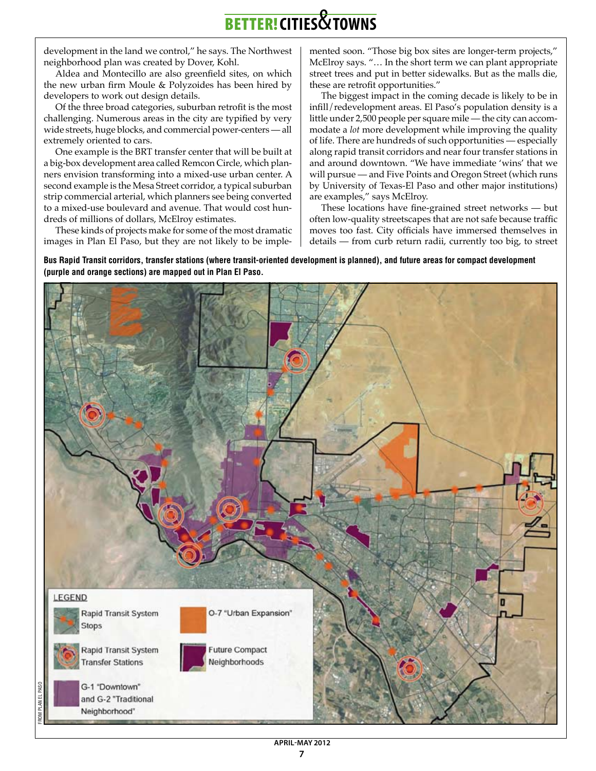development in the land we control," he says. The Northwest neighborhood plan was created by Dover, Kohl.

Aldea and Montecillo are also greenfield sites, on which the new urban firm Moule & Polyzoides has been hired by developers to work out design details.

Of the three broad categories, suburban retrofit is the most challenging. Numerous areas in the city are typified by very wide streets, huge blocks, and commercial power-centers — all extremely oriented to cars.

One example is the BRT transfer center that will be built at a big-box development area called Remcon Circle, which planners envision transforming into a mixed-use urban center. A second example is the Mesa Street corridor, a typical suburban strip commercial arterial, which planners see being converted to a mixed-use boulevard and avenue. That would cost hundreds of millions of dollars, McElroy estimates.

These kinds of projects make for some of the most dramatic images in Plan El Paso, but they are not likely to be implemented soon. "Those big box sites are longer-term projects," McElroy says. "… In the short term we can plant appropriate street trees and put in better sidewalks. But as the malls die, these are retrofit opportunities."

The biggest impact in the coming decade is likely to be in infill/redevelopment areas. El Paso's population density is a little under 2,500 people per square mile — the city can accommodate a *lot* more development while improving the quality of life. There are hundreds of such opportunities — especially along rapid transit corridors and near four transfer stations in and around downtown. "We have immediate 'wins' that we will pursue — and Five Points and Oregon Street (which runs by University of Texas-El Paso and other major institutions) are examples," says McElroy.

These locations have fine-grained street networks — but often low-quality streetscapes that are not safe because traffic moves too fast. City officials have immersed themselves in details — from curb return radii, currently too big, to street

**Bus Rapid Transit corridors, transfer stations (where transit-oriented development is planned), and future areas for compact development (purple and orange sections) are mapped out in Plan El Paso.**